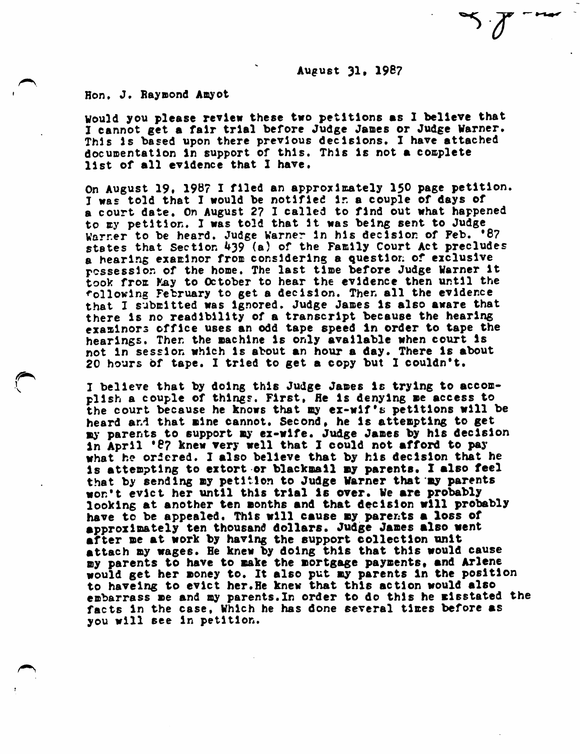August 31, 1987

Hon. J. Raymond Amyot

Would you please review these two petitions as I believe that I cannot get a fair trial before Judge Janes or Judge Warner. This is based upon there previous decisions. I have attached doc u mentation in support of this. This is not a complete list of all evidence that I have.

On August 19, 1987 I filed an approximately 150 page petition. I was told that I would be notified in a couple of days of a court date. On August 2? I called to find out what happened to By petition. I was told that It was being sent to Judge Warr.er to be heard. Judge Warner in his decision of Feb. '87 states that Section  $439$  (a) of the Family Court Act precludes a hearing examiner from considering a question of exclusive possession of the home. The last time before Judge Warner it took from May to October to hear the evidence then until the following February to get a decision. Then all the evidence that I submitted was ignored. Judge James is also aware that there is no readibility of a transcript because the hearing examinors office uses an odd tape speed in order to tape the hearings. Then the machine is only available when court is not in session which is about an hour a day. There is about 20 hours of tape. I tried to get a copy but I couldn't.

I believe that by doing this Judge James is trying to accomplish a couple of things. First, He is denying me access to the court because he knows that my ex-wif's petitions will be heard and that mine cannot. Second, he is attempting to get my parents to support ay ex-wife. Judge James by his decision in April \*87 knew very well that I could not afford to pay what he ordered. I also believe that by his decision that he is attempting to extort or blackmail my parents. I also feel that by sending my petition to Judge Warner that my parents won't evict her until this trial is over. We are probably looking at another ten months and that decision will probably have to be appealed. This will cause ay parents a loss of approximately ten thousand dollars. Judge James also went after me at work by having the support collection unit attach my wages. He knew by doing this that this would cause my parents to have to make the mortgage payments, and Arlene would get her money to. It also put my parents in the position to haveing to evict her.He knew that this action would also embarrass me and my parents. In order to do this he misstated the facts in the case, Which he has done several times before as you will see in petition.